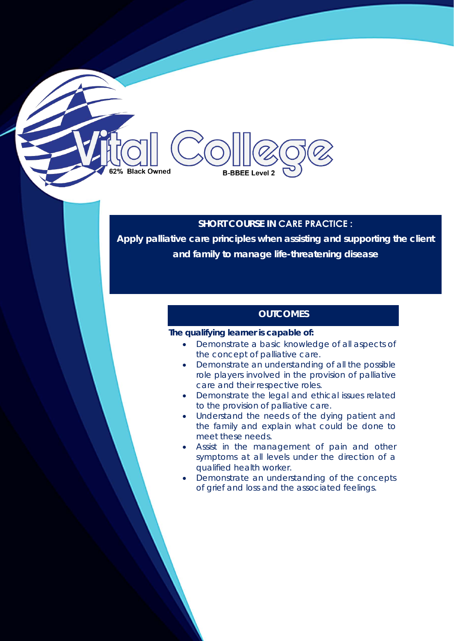# **SHORT COURSE IN CARE PRACTICE :**

**Apply palliative care principles when assisting and supporting the client and family to manage life-threatening disease** 

## **OUTCOMES**

#### **The qualifying learner is capable of:**

**B-BBEE Level 2** 

**Black Owned** 

- Demonstrate a basic knowledge of all aspects of the concept of palliative care.
- Demonstrate an understanding of all the possible role players involved in the provision of palliative care and their respective roles.
- Demonstrate the legal and ethical issues related to the provision of palliative care.
- Understand the needs of the dying patient and the family and explain what could be done to meet these needs.
- Assist in the management of pain and other symptoms at all levels under the direction of a qualified health worker.
- Demonstrate an understanding of the concepts of grief and loss and the associated feelings.